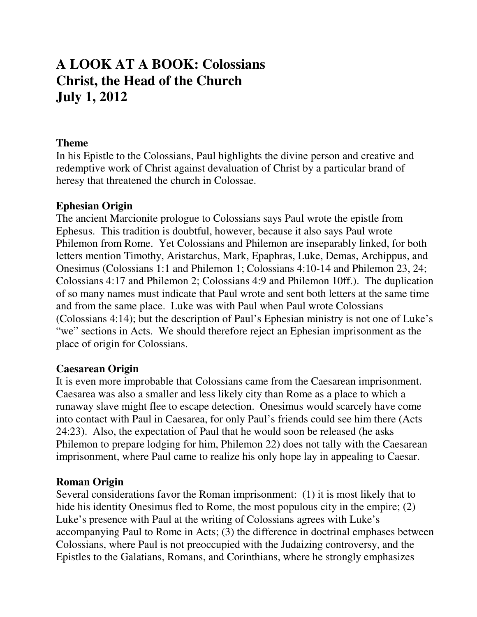# **A LOOK AT A BOOK: Colossians Christ, the Head of the Church July 1, 2012**

### **Theme**

In his Epistle to the Colossians, Paul highlights the divine person and creative and redemptive work of Christ against devaluation of Christ by a particular brand of heresy that threatened the church in Colossae.

### **Ephesian Origin**

The ancient Marcionite prologue to Colossians says Paul wrote the epistle from Ephesus. This tradition is doubtful, however, because it also says Paul wrote Philemon from Rome. Yet Colossians and Philemon are inseparably linked, for both letters mention Timothy, Aristarchus, Mark, Epaphras, Luke, Demas, Archippus, and Onesimus (Colossians 1:1 and Philemon 1; Colossians 4:10-14 and Philemon 23, 24; Colossians 4:17 and Philemon 2; Colossians 4:9 and Philemon 10ff.). The duplication of so many names must indicate that Paul wrote and sent both letters at the same time and from the same place. Luke was with Paul when Paul wrote Colossians (Colossians 4:14); but the description of Paul's Ephesian ministry is not one of Luke's "we" sections in Acts. We should therefore reject an Ephesian imprisonment as the place of origin for Colossians.

## **Caesarean Origin**

It is even more improbable that Colossians came from the Caesarean imprisonment. Caesarea was also a smaller and less likely city than Rome as a place to which a runaway slave might flee to escape detection. Onesimus would scarcely have come into contact with Paul in Caesarea, for only Paul's friends could see him there (Acts 24:23). Also, the expectation of Paul that he would soon be released (he asks Philemon to prepare lodging for him, Philemon 22) does not tally with the Caesarean imprisonment, where Paul came to realize his only hope lay in appealing to Caesar.

#### **Roman Origin**

Several considerations favor the Roman imprisonment: (1) it is most likely that to hide his identity Onesimus fled to Rome, the most populous city in the empire; (2) Luke's presence with Paul at the writing of Colossians agrees with Luke's accompanying Paul to Rome in Acts; (3) the difference in doctrinal emphases between Colossians, where Paul is not preoccupied with the Judaizing controversy, and the Epistles to the Galatians, Romans, and Corinthians, where he strongly emphasizes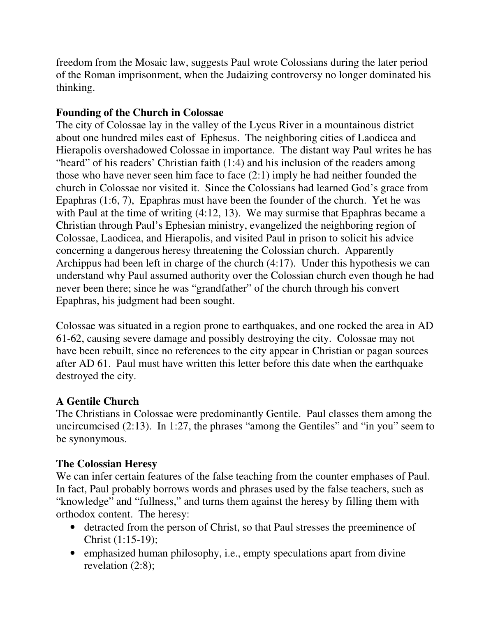freedom from the Mosaic law, suggests Paul wrote Colossians during the later period of the Roman imprisonment, when the Judaizing controversy no longer dominated his thinking.

# **Founding of the Church in Colossae**

The city of Colossae lay in the valley of the Lycus River in a mountainous district about one hundred miles east of Ephesus. The neighboring cities of Laodicea and Hierapolis overshadowed Colossae in importance. The distant way Paul writes he has "heard" of his readers' Christian faith (1:4) and his inclusion of the readers among those who have never seen him face to face (2:1) imply he had neither founded the church in Colossae nor visited it. Since the Colossians had learned God's grace from Epaphras (1:6, 7), Epaphras must have been the founder of the church. Yet he was with Paul at the time of writing (4:12, 13). We may surmise that Epaphras became a Christian through Paul's Ephesian ministry, evangelized the neighboring region of Colossae, Laodicea, and Hierapolis, and visited Paul in prison to solicit his advice concerning a dangerous heresy threatening the Colossian church. Apparently Archippus had been left in charge of the church (4:17). Under this hypothesis we can understand why Paul assumed authority over the Colossian church even though he had never been there; since he was "grandfather" of the church through his convert Epaphras, his judgment had been sought.

Colossae was situated in a region prone to earthquakes, and one rocked the area in AD 61-62, causing severe damage and possibly destroying the city. Colossae may not have been rebuilt, since no references to the city appear in Christian or pagan sources after AD 61. Paul must have written this letter before this date when the earthquake destroyed the city.

# **A Gentile Church**

The Christians in Colossae were predominantly Gentile. Paul classes them among the uncircumcised (2:13). In 1:27, the phrases "among the Gentiles" and "in you" seem to be synonymous.

## **The Colossian Heresy**

We can infer certain features of the false teaching from the counter emphases of Paul. In fact, Paul probably borrows words and phrases used by the false teachers, such as "knowledge" and "fullness," and turns them against the heresy by filling them with orthodox content. The heresy:

- detracted from the person of Christ, so that Paul stresses the preeminence of Christ (1:15-19);
- emphasized human philosophy, i.e., empty speculations apart from divine revelation (2:8);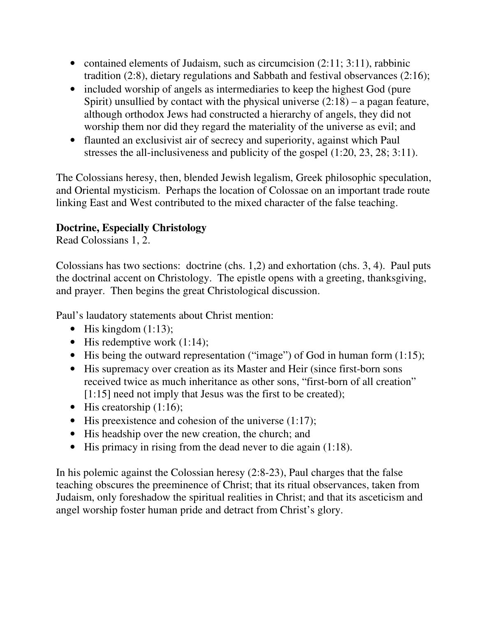- contained elements of Judaism, such as circumcision (2:11; 3:11), rabbinic tradition (2:8), dietary regulations and Sabbath and festival observances (2:16);
- included worship of angels as intermediaries to keep the highest God (pure Spirit) unsullied by contact with the physical universe  $(2:18)$  – a pagan feature, although orthodox Jews had constructed a hierarchy of angels, they did not worship them nor did they regard the materiality of the universe as evil; and
- flaunted an exclusivist air of secrecy and superiority, against which Paul stresses the all-inclusiveness and publicity of the gospel (1:20, 23, 28; 3:11).

The Colossians heresy, then, blended Jewish legalism, Greek philosophic speculation, and Oriental mysticism. Perhaps the location of Colossae on an important trade route linking East and West contributed to the mixed character of the false teaching.

# **Doctrine, Especially Christology**

Read Colossians 1, 2.

Colossians has two sections: doctrine (chs. 1,2) and exhortation (chs. 3, 4). Paul puts the doctrinal accent on Christology. The epistle opens with a greeting, thanksgiving, and prayer. Then begins the great Christological discussion.

Paul's laudatory statements about Christ mention:

- His kingdom  $(1:13)$ ;
- His redemptive work  $(1:14)$ ;
- His being the outward representation ("image") of God in human form (1:15);
- His supremacy over creation as its Master and Heir (since first-born sons) received twice as much inheritance as other sons, "first-born of all creation" [1:15] need not imply that Jesus was the first to be created);
- His creatorship  $(1:16)$ ;
- His preexistence and cohesion of the universe  $(1:17)$ ;
- His headship over the new creation, the church; and
- His primacy in rising from the dead never to die again (1:18).

In his polemic against the Colossian heresy (2:8-23), Paul charges that the false teaching obscures the preeminence of Christ; that its ritual observances, taken from Judaism, only foreshadow the spiritual realities in Christ; and that its asceticism and angel worship foster human pride and detract from Christ's glory.